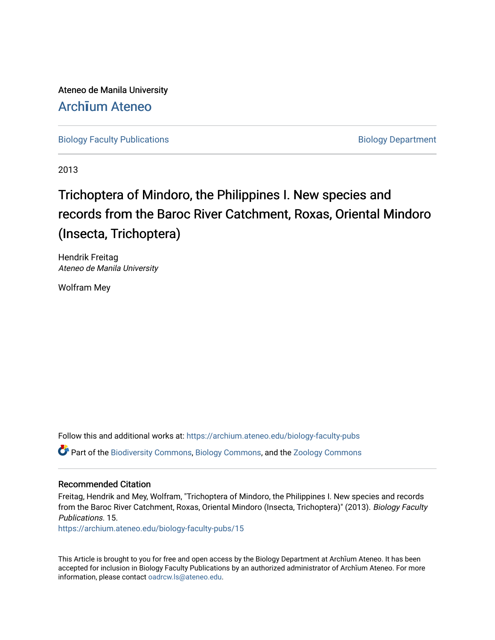Ateneo de Manila University Arch**ī**[um Ateneo](https://archium.ateneo.edu/) 

[Biology Faculty Publications](https://archium.ateneo.edu/biology-faculty-pubs) **Biology Department** 

2013

# Trichoptera of Mindoro, the Philippines I. New species and records from the Baroc River Catchment, Roxas, Oriental Mindoro (Insecta, Trichoptera)

Hendrik Freitag Ateneo de Manila University

Wolfram Mey

Follow this and additional works at: [https://archium.ateneo.edu/biology-faculty-pubs](https://archium.ateneo.edu/biology-faculty-pubs?utm_source=archium.ateneo.edu%2Fbiology-faculty-pubs%2F15&utm_medium=PDF&utm_campaign=PDFCoverPages)  Part of the [Biodiversity Commons](http://network.bepress.com/hgg/discipline/1127?utm_source=archium.ateneo.edu%2Fbiology-faculty-pubs%2F15&utm_medium=PDF&utm_campaign=PDFCoverPages), [Biology Commons](http://network.bepress.com/hgg/discipline/41?utm_source=archium.ateneo.edu%2Fbiology-faculty-pubs%2F15&utm_medium=PDF&utm_campaign=PDFCoverPages), and the [Zoology Commons](http://network.bepress.com/hgg/discipline/81?utm_source=archium.ateneo.edu%2Fbiology-faculty-pubs%2F15&utm_medium=PDF&utm_campaign=PDFCoverPages) 

# Recommended Citation

Freitag, Hendrik and Mey, Wolfram, "Trichoptera of Mindoro, the Philippines I. New species and records from the Baroc River Catchment, Roxas, Oriental Mindoro (Insecta, Trichoptera)" (2013). Biology Faculty Publications. 15.

[https://archium.ateneo.edu/biology-faculty-pubs/15](https://archium.ateneo.edu/biology-faculty-pubs/15?utm_source=archium.ateneo.edu%2Fbiology-faculty-pubs%2F15&utm_medium=PDF&utm_campaign=PDFCoverPages) 

This Article is brought to you for free and open access by the Biology Department at Archīum Ateneo. It has been accepted for inclusion in Biology Faculty Publications by an authorized administrator of Archīum Ateneo. For more information, please contact [oadrcw.ls@ateneo.edu](mailto:oadrcw.ls@ateneo.edu).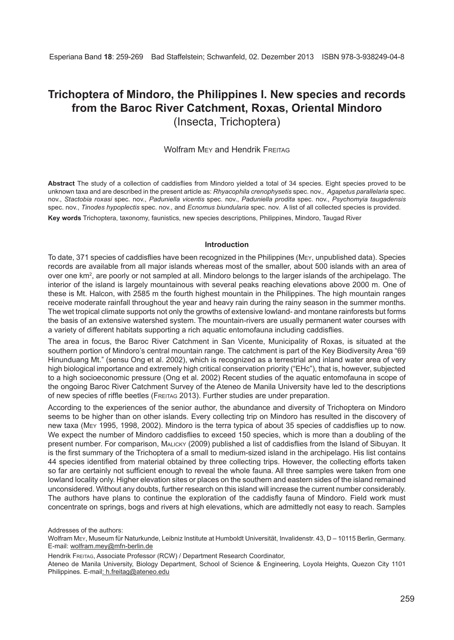# **Trichoptera of Mindoro, the Philippines I. New species and records from the Baroc River Catchment, Roxas, Oriental Mindoro** (Insecta, Trichoptera)

# Wolfram Mey and Hendrik FREITAG

**Abstract** The study of a collection of caddisflies from Mindoro yielded a total of 34 species. Eight species proved to be unknown taxa and are described in the present article as: *Rhyacophila crenophysetis* spec. nov., *Agapetus parallelaria* spec. nov., *Stactobia roxasi* spec. nov., *Paduniella vicentis* spec. nov., *Paduniella prodita* spec. nov., *Psychomyia taugadensis*  spec. nov., *Tinodes hypoplectis* spec. nov., and *Ecnomus biundularia* spec. nov. A list of all collected species is provided.

**Key words** Trichoptera, taxonomy, faunistics, new species descriptions, Philippines, Mindoro, Taugad River

#### **Introduction**

To date, 371 species of caddisflies have been recognized in the Philippines (Mey, unpublished data). Species records are available from all major islands whereas most of the smaller, about 500 islands with an area of over one km², are poorly or not sampled at all. Mindoro belongs to the larger islands of the archipelago. The interior of the island is largely mountainous with several peaks reaching elevations above 2000 m. One of these is Mt. Halcon, with 2585 m the fourth highest mountain in the Philippines. The high mountain ranges receive moderate rainfall throughout the year and heavy rain during the rainy season in the summer months. The wet tropical climate supports not only the growths of extensive lowland- and montane rainforests but forms the basis of an extensive watershed system. The mountain-rivers are usually permanent water courses with a variety of different habitats supporting a rich aquatic entomofauna including caddisflies.

The area in focus, the Baroc River Catchment in San Vicente, Municipality of Roxas, is situated at the southern portion of Mindoro's central mountain range. The catchment is part of the Key Biodiversity Area "69 Hinunduang Mt." (sensu Ong et al. 2002), which is recognized as a terrestrial and inland water area of very high biological importance and extremely high critical conservation priority ("EHc"), that is, however, subjected to a high socioeconomic pressure (Ong et al. 2002) Recent studies of the aquatic entomofauna in scope of the ongoing Baroc River Catchment Survey of the Ateneo de Manila University have led to the descriptions of new species of riffle beetles (Freitag 2013). Further studies are under preparation.

According to the experiences of the senior author, the abundance and diversity of Trichoptera on Mindoro seems to be higher than on other islands. Every collecting trip on Mindoro has resulted in the discovery of new taxa (Mey 1995, 1998, 2002). Mindoro is the terra typica of about 35 species of caddisflies up to now. We expect the number of Mindoro caddisflies to exceed 150 species, which is more than a doubling of the present number. For comparison, Malicky (2009) published a list of caddisflies from the Island of Sibuyan. It is the first summary of the Trichoptera of a small to medium-sized island in the archipelago. His list contains 44 species identified from material obtained by three collecting trips. However, the collecting efforts taken so far are certainly not sufficient enough to reveal the whole fauna. All three samples were taken from one lowland locality only. Higher elevation sites or places on the southern and eastern sides of the island remained unconsidered. Without any doubts, further research on this island will increase the current number considerably. The authors have plans to continue the exploration of the caddisfly fauna of Mindoro. Field work must concentrate on springs, bogs and rivers at high elevations, which are admittedly not easy to reach. Samples

Addresses of the authors:

Wolfram Mey, Museum für Naturkunde, Leibniz Institute at Humboldt Universität, Invalidenstr. 43, D – 10115 Berlin, Germany. E-mail: wolfram.mey@mfn-berlin.de

Hendrik Freitag, Associate Professor (RCW) / Department Research Coordinator,

Ateneo de Manila University, Biology Department, School of Science & Engineering, Loyola Heights, Quezon City 1101 Philippines. E-mail: h.freitag@ateneo.edu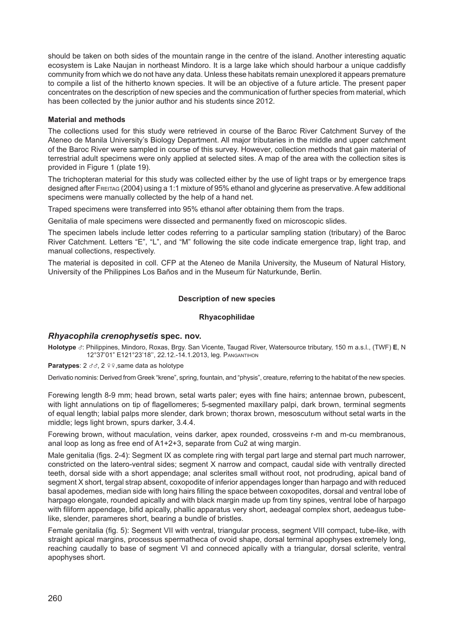should be taken on both sides of the mountain range in the centre of the island. Another interesting aquatic ecosystem is Lake Naujan in northeast Mindoro. It is a large lake which should harbour a unique caddisfly community from which we do not have any data. Unless these habitats remain unexplored it appears premature to compile a list of the hitherto known species. It will be an objective of a future article. The present paper concentrates on the description of new species and the communication of further species from material, which has been collected by the junior author and his students since 2012.

# **Material and methods**

The collections used for this study were retrieved in course of the Baroc River Catchment Survey of the Ateneo de Manila University's Biology Department. All major tributaries in the middle and upper catchment of the Baroc River were sampled in course of this survey. However, collection methods that gain material of terrestrial adult specimens were only applied at selected sites. A map of the area with the collection sites is provided in Figure 1 (plate 19).

The trichopteran material for this study was collected either by the use of light traps or by emergence traps designed after Freitag (2004) using a 1:1 mixture of 95% ethanol and glycerine as preservative. A few additional specimens were manually collected by the help of a hand net.

Traped specimens were transferred into 95% ethanol after obtaining them from the traps.

Genitalia of male specimens were dissected and permanently fixed on microscopic slides.

The specimen labels include letter codes referring to a particular sampling station (tributary) of the Baroc River Catchment. Letters "E", "L", and "M" following the site code indicate emergence trap, light trap, and manual collections, respectively.

The material is deposited in coll. CFP at the Ateneo de Manila University, the Museum of Natural History, University of the Philippines Los Baños and in the Museum für Naturkunde, Berlin.

# **Description of new species**

#### **Rhyacophilidae**

# *Rhyacophila crenophysetis* **spec. nov.**

**Holotype** x: Philippines, Mindoro, Roxas, Brgy. San Vicente, Taugad River, Watersource tributary, 150 m a.s.l., (TWF) **E**, N 12°37'01" E121°23'18'', 22.12.-14.1.2013, leg. Pangantihon

# **Paratypes**: 2  $\sigma \sigma$ , 2  $\phi$ , same data as holotype

Derivatio nominis: Derived from Greek "krene", spring, fountain, and "physis", creature, referring to the habitat of the new species.

Forewing length 8-9 mm; head brown, setal warts paler; eyes with fine hairs; antennae brown, pubescent, with light annulations on tip of flagellomeres; 5-segmented maxillary palpi, dark brown, terminal segments of equal length; labial palps more slender, dark brown; thorax brown, mesoscutum without setal warts in the middle; legs light brown, spurs darker, 3.4.4.

Forewing brown, without maculation, veins darker, apex rounded, crossveins r-m and m-cu membranous, anal loop as long as free end of A1+2+3, separate from Cu2 at wing margin.

Male genitalia (figs. 2-4): Segment IX as complete ring with tergal part large and sternal part much narrower, constricted on the latero-ventral sides; segment X narrow and compact, caudal side with ventrally directed teeth, dorsal side with a short appendage; anal sclerites small without root, not prodruding, apical band of segment X short, tergal strap absent, coxopodite of inferior appendages longer than harpago and with reduced basal apodemes, median side with long hairs filling the space between coxopodites, dorsal and ventral lobe of harpago elongate, rounded apically and with black margin made up from tiny spines, ventral lobe of harpago with filiform appendage, bifid apically, phallic apparatus very short, aedeagal complex short, aedeagus tubelike, slender, parameres short, bearing a bundle of bristles.

Female genitalia (fig. 5): Segment VII with ventral, triangular process, segment VIII compact, tube-like, with straight apical margins, processus spermatheca of ovoid shape, dorsal terminal apophyses extremely long, reaching caudally to base of segment VI and conneced apically with a triangular, dorsal sclerite, ventral apophyses short.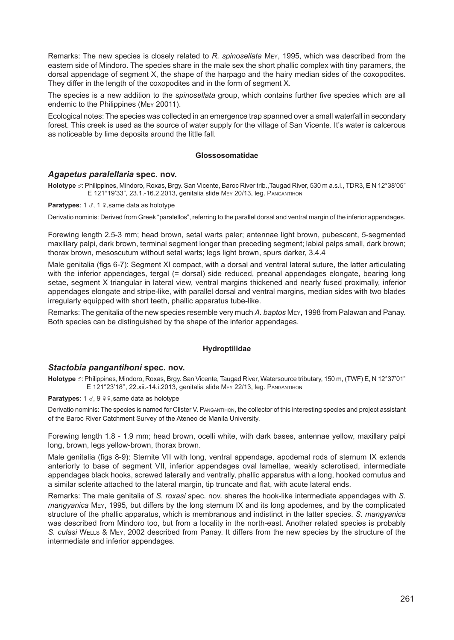Remarks: The new species is closely related to *R. spinosellata* Mey, 1995, which was described from the eastern side of Mindoro. The species share in the male sex the short phallic complex with tiny paramers, the dorsal appendage of segment X, the shape of the harpago and the hairy median sides of the coxopodites. They differ in the length of the coxopodites and in the form of segment X.

The species is a new addition to the *spinosellata* group, which contains further five species which are all endemic to the Philippines (Mey 20011).

Ecological notes: The species was collected in an emergence trap spanned over a small waterfall in secondary forest. This creek is used as the source of water supply for the village of San Vicente. It's water is calcerous as noticeable by lime deposits around the little fall.

#### **Glossosomatidae**

# *Agapetus paralellaria* **spec. nov.**

**Holotype** x: Philippines, Mindoro, Roxas, Brgy. San Vicente, Baroc River trib.,Taugad River, 530 m a.s.l., TDR3, **E** N 12°38'05" E 121°19'33", 23.1.-16.2.2013, genitalia slide Mey 20/13, leg. Pangantihon

**Paratypes**: 1  $\sigma$ , 1  $\phi$ , same data as holotype

Derivatio nominis: Derived from Greek "paralellos", referring to the parallel dorsal and ventral margin of the inferior appendages.

Forewing length 2.5-3 mm; head brown, setal warts paler; antennae light brown, pubescent, 5-segmented maxillary palpi, dark brown, terminal segment longer than preceding segment; labial palps small, dark brown; thorax brown, mesoscutum without setal warts; legs light brown, spurs darker, 3.4.4

Male genitalia (figs 6-7): Segment XI compact, with a dorsal and ventral lateral suture, the latter articulating with the inferior appendages, tergal (= dorsal) side reduced, preanal appendages elongate, bearing long setae, segment X triangular in lateral view, ventral margins thickened and nearly fused proximally, inferior appendages elongate and stripe-like, with parallel dorsal and ventral margins, median sides with two blades irregularly equipped with short teeth, phallic apparatus tube-like.

Remarks: The genitalia of the new species resemble very much *A. baptos* Mey, 1998 from Palawan and Panay. Both species can be distinguished by the shape of the inferior appendages.

# **Hydroptilidae**

#### *Stactobia pangantihoni* **spec. nov.**

Holotype *d*: Philippines, Mindoro, Roxas, Brgy. San Vicente, Taugad River, Watersource tributary, 150 m, (TWF) E, N 12°37'01" E 121°23'18'', 22.xii.-14.i.2013, genitalia slide Mey 22/13, leg. Pangantihon

#### **Paratypes**: 1  $\sigma$ , 9  $\circ$   $\circ$ , same data as holotype

Derivatio nominis: The species is named for Clister V. PANGANTIHON, the collector of this interesting species and project assistant of the Baroc River Catchment Survey of the Ateneo de Manila University.

Forewing length 1.8 - 1.9 mm; head brown, ocelli white, with dark bases, antennae yellow, maxillary palpi long, brown, legs yellow-brown, thorax brown.

Male genitalia (figs 8-9): Sternite VII with long, ventral appendage, apodemal rods of sternum IX extends anteriorly to base of segment VII, inferior appendages oval lamellae, weakly sclerotised, intermediate appendages black hooks, screwed laterally and ventrally, phallic apparatus with a long, hooked cornutus and a similar sclerite attached to the lateral margin, tip truncate and flat, with acute lateral ends.

Remarks: The male genitalia of *S. roxasi* spec. nov. shares the hook-like intermediate appendages with *S. mangyanica* Mey, 1995, but differs by the long sternum IX and its long apodemes, and by the complicated structure of the phallic apparatus, which is membranous and indistinct in the latter species. *S. mangyanica* was described from Mindoro too, but from a locality in the north-east. Another related species is probably *S. culasi* Wells & Mey, 2002 described from Panay. It differs from the new species by the structure of the intermediate and inferior appendages.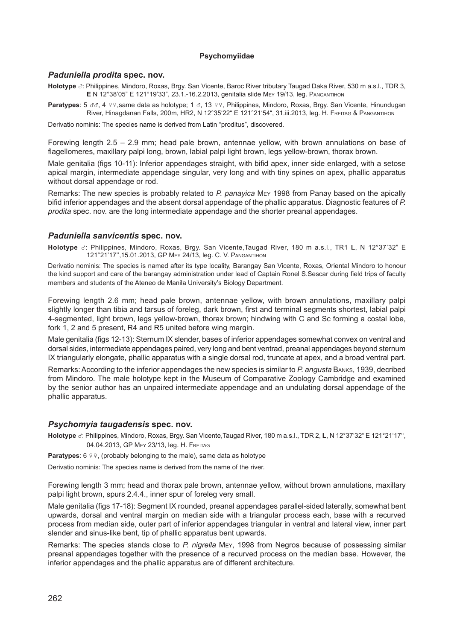# **Psychomyiidae**

# *Paduniella prodita* **spec. nov.**

**Holotype** x: Philippines, Mindoro, Roxas, Brgy. San Vicente, Baroc River tributary Taugad Daka River, 530 m a.s.l., TDR 3, **E** N 12°38'05" E 121°19'33", 23.1.-16.2.2013, genitalia slide Mey 19/13, leg. Pangantihon

**Paratypes**: 5 33, 4 99 same data as holotype; 1 3, 13 99. Philippines, Mindoro, Roxas, Brgy, San Vicente, Hinundugan River, Hinagdanan Falls, 200m, HR2, N 12°35'22" E 121°21'54", 31.iii.2013, leg. H. Freitag & Pangantihon

Derivatio nominis: The species name is derived from Latin "proditus", discovered.

Forewing length 2.5 – 2.9 mm; head pale brown, antennae yellow, with brown annulations on base of flagellomeres, maxillary palpi long, brown, labial palpi light brown, legs yellow-brown, thorax brown.

Male genitalia (figs 10-11): Inferior appendages straight, with bifid apex, inner side enlarged, with a setose apical margin, intermediate appendage singular, very long and with tiny spines on apex, phallic apparatus without dorsal appendage or rod.

Remarks: The new species is probably related to *P. panayica* Mey 1998 from Panay based on the apically bifid inferior appendages and the absent dorsal appendage of the phallic apparatus. Diagnostic features of *P. prodita* spec. nov. are the long intermediate appendage and the shorter preanal appendages.

# *Paduniella sanvicentis* **spec. nov.**

**Holotype** x: Philippines, Mindoro, Roxas, Brgy. San Vicente,Taugad River, 180 m a.s.l., TR1 **L**, N 12°37'32" E 121°21'17'',15.01.2013, GP Mey 24/13, leg. C. V. Pangantihon

Derivatio nominis: The species is named after its type locality, Barangay San Vicente, Roxas, Oriental Mindoro to honour the kind support and care of the barangay administration under lead of Captain Ronel S.Sescar during field trips of faculty members and students of the Ateneo de Manila University's Biology Department.

Forewing length 2.6 mm; head pale brown, antennae yellow, with brown annulations, maxillary palpi slightly longer than tibia and tarsus of foreleg, dark brown, first and terminal segments shortest, labial palpi 4-segmented, light brown, legs yellow-brown, thorax brown; hindwing with C and Sc forming a costal lobe, fork 1, 2 and 5 present, R4 and R5 united before wing margin.

Male genitalia (figs 12-13): Sternum IX slender, bases of inferior appendages somewhat convex on ventral and dorsal sides, intermediate appendages paired, very long and bent ventrad, preanal appendages beyond sternum IX triangularly elongate, phallic apparatus with a single dorsal rod, truncate at apex, and a broad ventral part.

Remarks: According to the inferior appendages the new species is similar to *P. angusta* Banks, 1939, decribed from Mindoro. The male holotype kept in the Museum of Comparative Zoology Cambridge and examined by the senior author has an unpaired intermediate appendage and an undulating dorsal appendage of the phallic apparatus.

#### *Psychomyia taugadensis* **spec. nov.**

**Holotype** x: Philippines, Mindoro, Roxas, Brgy. San Vicente,Taugad River, 180 m a.s.l., TDR 2, **L**, N 12°37'32" E 121°21'17'', 04.04.2013, GP Mey 23/13, leg. H. Freitag

**Paratypes**:  $6 \sqrt{9}$ , (probably belonging to the male), same data as holotype

Derivatio nominis: The species name is derived from the name of the river.

Forewing length 3 mm; head and thorax pale brown, antennae yellow, without brown annulations, maxillary palpi light brown, spurs 2.4.4., inner spur of foreleg very small.

Male genitalia (figs 17-18): Segment IX rounded, preanal appendages parallel-sided laterally, somewhat bent upwards, dorsal and ventral margin on median side with a triangular process each, base with a recurved process from median side, outer part of inferior appendages triangular in ventral and lateral view, inner part slender and sinus-like bent, tip of phallic apparatus bent upwards.

Remarks: The species stands close to *P. nigrella* Mey, 1998 from Negros because of possessing similar preanal appendages together with the presence of a recurved process on the median base. However, the inferior appendages and the phallic apparatus are of different architecture.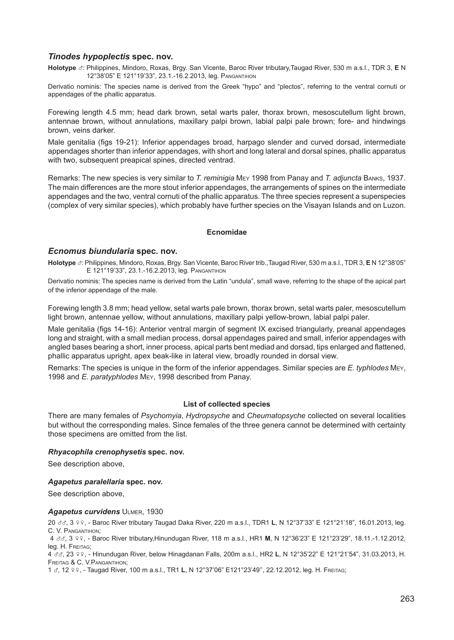# *Tinodes hypoplectis* **spec. nov.**

**Holotype** x: Philippines, Mindoro, Roxas, Brgy. San Vicente, Baroc River tributary,Taugad River, 530 m a.s.l., TDR 3, **E**<sup>N</sup> 12°38'05" E 121°19'33", 23.1.-16.2.2013, leg. Pangantihon

Derivatio nominis: The species name is derived from the Greek "hypo" and "plectos", referring to the ventral cornuti or appendages of the phallic apparatus.

Forewing length 4.5 mm; head dark brown, setal warts paler, thorax brown, mesoscutellum light brown, antennae brown, without annulations, maxillary palpi brown, labial palpi pale brown; fore- and hindwings brown, veins darker.

Male genitalia (figs 19-21): Inferior appendages broad, harpago slender and curved dorsad, intermediate appendages shorter than inferior appendages, with short and long lateral and dorsal spines, phallic apparatus with two, subsequent preapical spines, directed ventrad.

Remarks: The new species is very similar to *T. reminigia* Mey 1998 from Panay and *T. adjuncta* Banks, 1937. The main differences are the more stout inferior appendages, the arrangements of spines on the intermediate appendages and the two, ventral cornuti of the phallic apparatus. The three species represent a superspecies (complex of very similar species), which probably have further species on the Visayan Islands and on Luzon.

# **Ecnomidae**

# *Ecnomus biundularia* **spec. nov.**

**Holotype** x: Philippines, Mindoro, Roxas, Brgy. San Vicente, Baroc River trib.,Taugad River, 530 m a.s.l., TDR 3, **E** N 12°38'05" E 121°19'33", 23.1.-16.2.2013, leg. Pangantihon

Derivatio nominis: The species name is derived from the Latin "undula", small wave, referring to the shape of the apical part of the inferior appendage of the male.

Forewing length 3.8 mm; head yellow, setal warts pale brown, thorax brown, setal warts paler, mesoscutellum light brown, antennae yellow, without annulations, maxillary palpi yellow-brown, labial palpi paler.

Male genitalia (figs 14-16): Anterior ventral margin of segment IX excised triangularly, preanal appendages long and straight, with a small median process, dorsal appendages paired and small, inferior appendages with angled bases bearing a short, inner process, apical parts bent mediad and dorsad, tips enlarged and flattened, phallic apparatus upright, apex beak-like in lateral view, broadly rounded in dorsal view.

Remarks: The species is unique in the form of the inferior appendages. Similar species are *E. typhlodes* Mey, 1998 and *E. paratyphlodes* Mey, 1998 described from Panay.

# **List of collected species**

There are many females of *Psychomyia*, *Hydropsyche* and *Cheumatopsyche* collected on several localities but without the corresponding males. Since females of the three genera cannot be determined with certainty those specimens are omitted from the list.

#### *Rhyacophila crenophysetis* **spec. nov.**

See description above,

#### *Agapetus paralellaria* **spec. nov.**

See description above,

#### *Agapetus curvidens* Ulmer, 1930

<sup>20</sup>xx, 3 ww, - Baroc River tributary Taugad Daka River, 220 m a.s.l., TDR1 **L**, N 12°37'33" E 121°21'18", 16.01.2013, leg. C. V. Pangantihon;

<sup>4</sup>xx, 3 ww, - Baroc River tributary,Hinundugan River, 118 m a.s.l., HR1 **M**, N 12°36'23" E 121°23'29", 18.11.-1.12.2012, leg. H. Freitag;

<sup>4</sup>xx, 23 ww, - Hinundugan River, below Hinagdanan Falls, 200m a.s.l., HR2 **L**, N 12°35'22" E 121°21'54", 31.03.2013, H. Freitag & C. V.Pangantihon;

1 x, 12 ww, - Taugad River, 100 m a.s.l., TR1 **L**, N 12°37'06" E121°23'49'', 22.12.2012, leg. H. Freitag;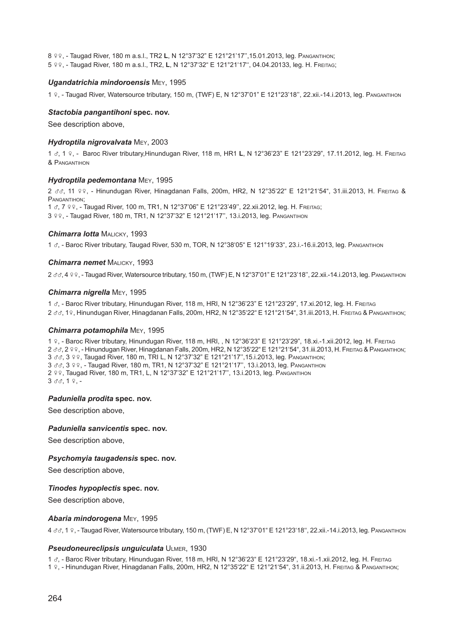<sup>8</sup>ww, - Taugad River, 180 m a.s.l., TR2 **L**, N 12°37'32" E 121°21'17'',15.01.2013, leg. Pangantihon;  $5$  ºº, - Taugad River, 180 m a.s.l., TR2, L, N 12°37'32" E 121°21'17", 04.04.20133, leg. Н. FREITAG;

#### *Ugandatrichia mindoroensis* Mey, 1995

<sup>1</sup>w, - Taugad River, Watersource tributary, 150 m, (TWF) E, N 12°37'01" E 121°23'18'', 22.xii.-14.i.2013, leg. Pangantihon

#### *Stactobia pangantihoni* **spec. nov.**

See description above,

#### *Hydroptila nigrovalvata* Mey, 2003

<sup>1</sup>x, 1 w, - Baroc River tributary,Hinundugan River, 118 m, HR1 **L**, N 12°36'23" E 121°23'29", 17.11.2012, leg. H. Freitag & Pangantihon

#### *Hydroptila pedemontana* Mey, 1995

2 & 3, 11 99, - Hinundugan River, Hinagdanan Falls, 200m, HR2, N 12°35'22" E 121°21'54", 31.iii.2013, H. FREITAG & PANGANTIHON<sup>®</sup>

1  $\sigma$ , 7 º º, - Taugad River, 100 m, TR1, N 12°37'06" E 121°23'49", 22.xii.2012, leg. Н. FREITAG; 3 º º. - Taugad River, 180 m, TR1, N 12°37'32" E 121°21'17", 13.i.2013, leg. Pangantihon

#### *Chimarra lotta* MALICKY, 1993

<sup>1</sup>x, - Baroc River tributary, Taugad River, 530 m, TOR, N 12°38'05" E 121°19'33", 23.i.-16.ii.2013, leg. Pangantihon

#### *Chimarra nemet* Malicky, 1993

2 33, 4 99, - Taugad River, Watersource tributary, 150 m, (TWF) E, N 12°37'01" E 121°23'18", 22.xii.-14.i.2013, leg. PANGANTIHON

#### *Chimarra nigrella* Mey, 1995

<sup>1</sup>x, - Baroc River tributary, Hinundugan River, 118 m, HRI, N 12°36'23" E 121°23'29", 17.xi.2012, leg. H. Freitag 2 33, 19, Hinundugan River, Hinagdanan Falls, 200m, HR2, N 12°35'22" E 121°21'54", 31.iii.2013, H. FREITAG & PANGANTIHON;

#### *Chimarra potamophila* Mey, 1995

<sup>1</sup>w, - Baroc River tributary, Hinundugan River, 118 m, HRI, , N 12°36'23" E 121°23'29", 18.xi.-1.xii.2012, leg. H. Freitag 2 33, 2 99, - Hinundugan River, Hinagdanan Falls, 200m, HR2, N 12°35'22" E 121°21'54", 31.iii.2013, H. Freitag & Pangantihon; 3 33, 3 99, Taugad River, 180 m, TRI L, N 12°37'32" E 121°21'17", 15.i.2013, leg. PANGANTIHON; 3 33, 399, - Taugad River, 180 m, TR1, N 12°37'32" E 121°21'17", 13.i.2013, leg. PANGANTIHON 2 º º, Taugad River, 180 m, TR1, L, N 12°37'32" E 121°21'17", 13.i.2013, leg. PANGANTIHON  $3d3, 19, -$ 

### *Paduniella prodita* **spec. nov.**

See description above,

#### *Paduniella sanvicentis* **spec. nov.**

See description above,

#### *Psychomyia taugadensis* **spec. nov.**

See description above,

#### *Tinodes hypoplectis* **spec. nov.**

See description above,

#### *Abaria mindorogena* Mey, 1995

<sup>4</sup>xx, 1 w, - Taugad River, Watersource tributary, 150 m, (TWF) E, N 12°37'01" E 121°23'18'', 22.xii.-14.i.2013, leg. Pangantihon

#### *Pseudoneureclipsis unguiculata* Ulmer, 1930

<sup>1</sup>x, - Baroc River tributary, Hinundugan River, 118 m, HRI, N 12°36'23" E 121°23'29", 18.xi.-1.xii.2012, leg. H. Freitag

1 w, - Hinundugan River, Hinagdanan Falls, 200m, HR2, N 12°35'22" E 121°21'54", 31.ii.2013, H. Freitag & Pangantihon;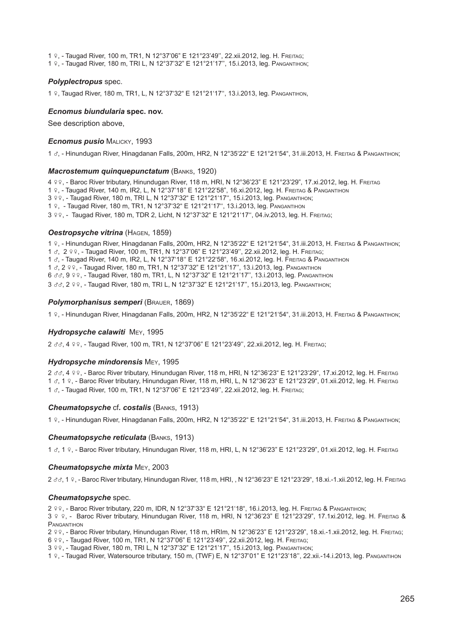<sup>1</sup>w, - Taugad River, 100 m, TR1, N 12°37'06" E 121°23'49'', 22.xii.2012, leg. H. Freitag;

<sup>1</sup>w, - Taugad River, 180 m, TRI L, N 12°37'32" E 121°21'17'', 15.i.2013, leg. Pangantihon;

#### *Polyplectropus* spec.

1 º, Taugad River, 180 m, TR1, L, N 12°37'32" E 121°21'17", 13.i.2013, leg. PANGANTIHON,

### *Ecnomus biundularia* **spec. nov.**

See description above,

#### *Ecnomus pusio* Malicky, 1993

<sup>1</sup>x, - Hinundugan River, Hinagdanan Falls, 200m, HR2, N 12°35'22" E 121°21'54", 31.iii.2013, H. Freitag & Pangantihon;

#### *Macrostemum quinquepunctatum* (Banks, 1920)

<sup>4</sup>ww, - Baroc River tributary, Hinundugan River, 118 m, HRI, N 12°36'23" E 121°23'29", 17.xi.2012, leg. H. Freitag <sup>1</sup>w, - Taugad River, 140 m, IR2, L, N 12°37'18'' E 121°22'58", 16.xi.2012, leg. H. Freitag & Pangantihon 3 º º, - Taugad River, 180 m, TRI L, N 12°37'32" E 121°21'17", 15.i.2013, leg. PANGANTIHON; 1 º, - Taugad River, 180 m, TR1, N 12°37'32" E 121°21'17", 13.i.2013, leg. PANGANTIHON 3 º º . - Taugad River, 180 m, TDR 2, Licht, N 12°37'32" E 121°21'17", 04.iv.2013, leg. H. Freitag;

#### *Oestropsyche vitrina* (Hagen, 1859)

<sup>1</sup>w, - Hinundugan River, Hinagdanan Falls, 200m, HR2, N 12°35'22" E 121°21'54", 31.iii.2013, H. Freitag & Pangantihon; 1  $\sigma$ , 2 99, - Taugad River, 100 m, TR1, N 12°37'06" E 121°23'49", 22.xii.2012, leg. H. Freitag; <sup>1</sup>x, - Taugad River, 140 m, IR2, L, N 12°37'18'' E 121°22'58", 16.xi.2012, leg. H. Freitag & Pangantihon 1 8, 2 99, - Taugad River, 180 m, TR1, N 12°37'32" E 121°21'17", 13.i.2013, leg. PANGANTIHON 6 33, 9 9 9, - Taugad River, 180 m, TR1, L, N 12°37'32" E 121°21'17", 13.i.2013, leg. PANGANTIHON 3 33, 2 99, - Taugad River, 180 m, TRI L, N 12°37'32" E 121°21'17", 15.i.2013, leg. Pangantihon;

#### *Polymorphanisus semperi* (Brauer, 1869)

<sup>1</sup>w, - Hinundugan River, Hinagdanan Falls, 200m, HR2, N 12°35'22" E 121°21'54", 31.iii.2013, H. Freitag & Pangantihon;

#### *Hydropsyche calawiti* Mey, 1995

2 33, 4 99, - Taugad River, 100 m, TR1, N 12°37'06" E 121°23'49", 22.xii.2012, leg. Н. FREITAG;

#### *Hydropsyche mindorensis* Mey, 1995

2 33, 4 99, - Baroc River tributary, Hinundugan River, 118 m, HRI, N 12°36'23" E 121°23'29", 17.xi.2012, leg. H. Freitag <sup>1</sup>x, 1 w, - Baroc River tributary, Hinundugan River, 118 m, HRI, L, N 12°36'23" E 121°23'29", 01.xii.2012, leg. H. Freitag 1  $\sigma$ , - Taugad River, 100 m, TR1, N 12°37'06" E 121°23'49", 22.xii.2012, leg. Н. FREITAG;

#### *Cheumatopsyche* cf*. costalis* (Banks, 1913)

1 º, - Hinundugan River, Hinagdanan Falls, 200m, HR2, N 12°35'22" E 121°21'54", 31.iii.2013, H. Freitag & Pangantihon;

#### *Cheumatopsyche reticulata* (Banks, 1913)

<sup>1</sup>x, 1 w, - Baroc River tributary, Hinundugan River, 118 m, HRI, L, N 12°36'23" E 121°23'29", 01.xii.2012, leg. H. Freitag

#### *Cheumatopsyche mixta* Mey, 2003

2 33, 1 9, - Baroc River tributary, Hinundugan River, 118 m, HRI, , N 12°36'23" E 121°23'29", 18.xi.-1.xii.2012, leg. H. Freirag

#### *Cheumatopsyche* spec.

<sup>2</sup>ww, - Baroc River tributary, 220 m, IDR, N 12°37'33" E 121°21'18", 16.i.2013, leg. H. Freitag & Pangantihon;

 $3.9.9$ . - Baroc River tributary, Hinundugan River, 118 m, HRI, N 12°36'23" E 121°23'29", 17.1xi.2012, leg. H. Freitag & PANGANTIHON

<sup>2</sup>ww, - Baroc River tributary, Hinundugan River, 118 m, HRIm, N 12°36'23" E 121°23'29", 18.xi.-1.xii.2012, leg. H. Freitag;

<sup>6</sup>ww, - Taugad River, 100 m, TR1, N 12°37'06" E 121°23'49'', 22.xii.2012, leg. H. Freitag;

3 º º, - Taugad River, 180 m, TRI L, N 12°37'32" E 121°21'17", 15.i.2013, leg. PANGANTIHON;

1 w, - Taugad River, Watersource tributary, 150 m, (TWF) E, N 12°37'01" E 121°23'18'', 22.xii.-14.i.2013, leg. Pangantihon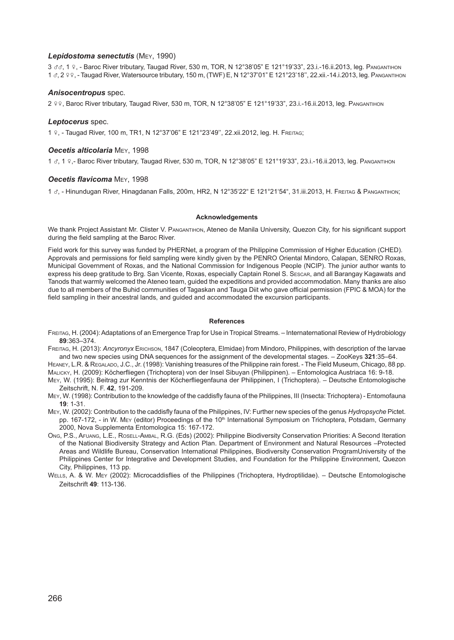#### *Lepidostoma senectutis* (Mey, 1990)

3 & 3, 1 9, - Baroc River tributary, Taugad River, 530 m, TOR, N 12°38'05" E 121°19'33", 23.i.-16.ii.2013, leg. PANGANTIHON <sup>1</sup>x, 2 ww, - Taugad River, Watersource tributary, 150 m, (TWF) E, N 12°37'01" E 121°23'18'', 22.xii.-14.i.2013, leg. Pangantihon

#### *Anisocentropus* spec.

2 º º, Baroc River tributary, Taugad River, 530 m, TOR, N 12°38'05" E 121°19'33", 23.i.-16.ii.2013, leg. PANGANTIHON

#### *Leptocerus* spec.

<sup>1</sup>w, - Taugad River, 100 m, TR1, N 12°37'06" E 121°23'49'', 22.xii.2012, leg. H. Freitag;

#### *Oecetis alticolaria* Mey, 1998

<sup>1</sup>x, 1 w,- Baroc River tributary, Taugad River, 530 m, TOR, N 12°38'05" E 121°19'33", 23.i.-16.ii.2013, leg. Pangantihon

#### *Oecetis flavicoma* Mey, 1998

<sup>1</sup>x, - Hinundugan River, Hinagdanan Falls, 200m, HR2, N 12°35'22" E 121°21'54", 31.iii.2013, H. Freitag & Pangantihon;

#### **Acknowledgements**

We thank Project Assistant Mr. Clister V. PANGANTIHON, Ateneo de Manila University, Quezon City, for his significant support during the field sampling at the Baroc River.

Field work for this survey was funded by PHERNet, a program of the Philippine Commission of Higher Education (CHED). Approvals and permissions for field sampling were kindly given by the PENRO Oriental Mindoro, Calapan, SENRO Roxas, Municipal Government of Roxas, and the National Commission for Indigenous People (NCIP). The junior author wants to express his deep gratitude to Brg. San Vicente, Roxas, especially Captain Ronel S. Sescar, and all Barangay Kagawats and Tanods that warmly welcomed the Ateneo team, guided the expeditions and provided accommodation. Many thanks are also due to all members of the Buhid communities of Tagaskan and Tauga Diit who gave official permission (FPIC & MOA) for the field sampling in their ancestral lands, and guided and accommodated the excursion participants.

#### **References**

Freitag, H. (2004): Adaptations of an Emergence Trap for Use in Tropical Streams. – Internaternational Review of Hydrobiology **89**:363–374.

Freitag, H. (2013): *Ancyronyx* Erichson, 1847 (Coleoptera, Elmidae) from Mindoro, Philippines, with description of the larvae and two new species using DNA sequences for the assignment of the developmental stages. – ZooKeys **321**:35–64.

HEANEY, L.R. & REGALADO, J.C., Jr. (1998): Vanishing treasures of the Philippine rain forest. - The Field Museum, Chicago, 88 pp. Malicky, H. (2009): Köcherfliegen (Trichoptera) von der Insel Sibuyan (Philippinen). – Entomologica Austriaca 16: 9-18.

Mey, W. (1995): Beitrag zur Kenntnis der Köcherfliegenfauna der Philippinen, I (Trichoptera). – Deutsche Entomologische Zeitschrift, N. F. **42**, 191-209.

Mey, W. (1998): Contribution to the knowledge of the caddisfly fauna of the Philippines, III (Insecta: Trichoptera) - Entomofauna **19**: 1-31.

- Mey, W. (2002): Contribution to the caddisfly fauna of the Philippines, IV: Further new species of the genus *Hydropsyche* Pictet. pp. 167-172, - in W. Mey (editor) Proceedings of the 10<sup>th</sup> International Symposium on Trichoptera, Potsdam, Germany 2000, Nova Supplementa Entomologica 15: 167-172.
- Ong, P.S., Afuang, L.E., Rosell-Ambal, R.G. (Eds) (2002): Philippine Biodiversity Conservation Priorities: A Second Iteration of the National Biodiversity Strategy and Action Plan. Department of Environment and Natural Resources –Protected Areas and Wildlife Bureau, Conservation International Philippines, Biodiversity Conservation ProgramUniversity of the Philippines Center for Integrative and Development Studies, and Foundation for the Philippine Environment, Quezon City, Philippines, 113 pp.
- Wells, A. & W. Mey (2002): Microcaddisflies of the Philippines (Trichoptera, Hydroptilidae). Deutsche Entomologische Zeitschrift **49**: 113-136.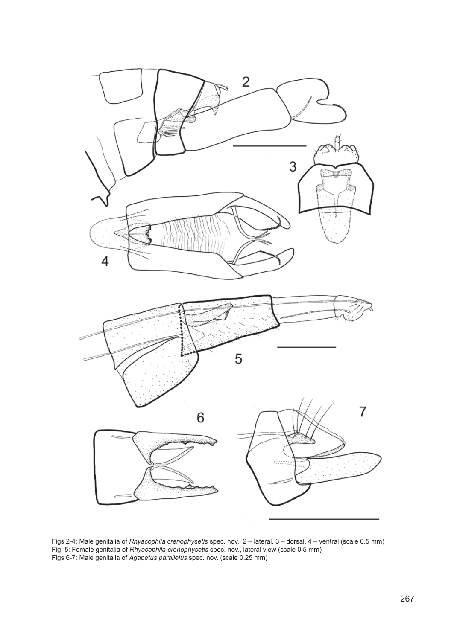

Figs 2-4: Male genitalia of *Rhyacophila crenophysetis* spec. nov., 2 – lateral, 3 – dorsal, 4 – ventral (scale 0.5 mm) Fig. 5: Female genitalia of *Rhyacophila crenophysetis* spec. nov., lateral view (scale 0.5 mm) Figs 6-7: Male genitalia of *Agapetus parallelus* spec. nov. (scale 0.25 mm)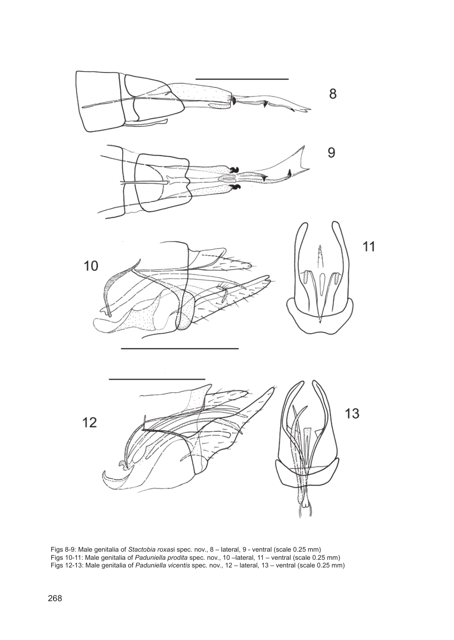

Figs 8-9: Male genitalia of *Stactobia roxas*i spec. nov., 8 – lateral, 9 - ventral (scale 0.25 mm) Figs 10-11: Male genitalia of *Paduniella prodita* spec. nov., 10 –lateral, 11 – ventral (scale 0.25 mm) Figs 12-13: Male genitalia of *Paduniella vicentis* spec. nov., 12 – lateral, 13 – ventral (scale 0.25 mm)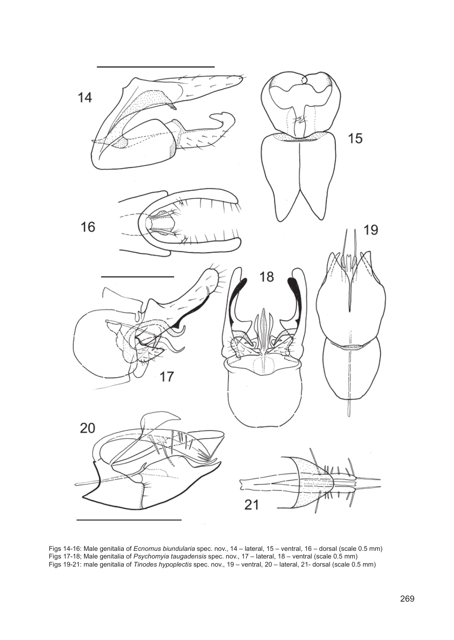

Figs 14-16: Male genitalia of *Ecnomus biundularia* spec. nov., 14 – lateral, 15 – ventral, 16 – dorsal (scale 0.5 mm) Figs 17-18; Male genitalia of *Psychomyia taugadensis* spec. nov., 17 – lateral, 18 – ventral (scale 0.5 mm) Figs 19-21: male genitalia of *Tinodes hypoplectis* spec. nov., 19 – ventral, 20 – lateral, 21- dorsal (scale 0.5 mm)